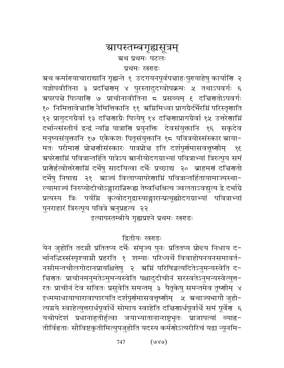# ग्रापस्तम्बगृह्यसूत्रम् ग्रथ प्रथमः पटलः प्रथमः खराडः

त्र्रथ कर्मारायाचाराद्यानि गृह्यन्ते १ उदगयनपूर्वपत्ताहःपुरायाहेषु कार्याणि २ यज्ञोपवीतिना ३ प्रदच्चिरणम् ४ पुरस्तादुदग्वोपक्रमः ५ तथाऽपवर्गः ६ ग्र्यपरपद्मे पित्र्याणि ७ प्राचीनावीतिना ८ प्रसव्यम् ६ दद्मिणतोऽपवर्गः १० निमित्तावे नाणि नैमित्तिकानि ११ अग्निमिध्वा प्रागग्रैर्दर्भैरग्निं परिस्तृणाति १२ प्रागुदगग्रैर्वा १३ दचिणाग्रैः पित्र्येषु १४ दचिणाप्रागग्रैर्वा १५ उत्तरेणाम्निं दर्भान्त्संस्तीर्य द्वन्द्वं न्यञ्चि पात्राणि प्रयुनक्ति देवसंयुक्तानि १६ सकृदेव मनुष्यसंयुक्तानि १७ एकैकशः पितृसंयुक्तानि १८ पवित्रयोस्संस्कार स्राया-मतः परीमाणं प्रोन्नणीसंस्कारः पात्रप्रोन्न इति दर्शपूर्णमासवत्तूष्णीम्  $38$ ञ्चपरेणाम्निं पवित्रान्तर्हिते पात्रेऽप स्रानीयोदगग्राभ्यां पवित्राभ्यां त्रिरुत्पूय समं प्राशैर्हत्वोत्तरेशाम्निं दर्भेषु सादयित्वा दर्भैः प्रच्छाद्य २० ब्राहमर्शं दच्चिणतो दर्भेषु निषाद्य २१ - स्राज्यं विलाप्यापरेणाग्निं पवित्रान्तर्हितायामाज्यस्था-ल्यामाज्यं निरुप्योदीचोऽङ्गारान्निरूह्य तेष्वधिश्रित्य ज्वलताऽवद्युत्य द्वे दर्भाग्रे प्रत्यस्य त्रिः पर्यम्नि कृत्वोदगुद्वास्याङ्गारान्प्रत्यूह्योदगग्राभ्यां पवित्राभ्यां पुनराहारं त्रिरुत्पूय पवित्रे ग्रनुप्रहृत्य २२

इत्यापस्तम्बीये गृह्यप्रश्ने प्रथमः खराडः

## द्वितीयः खराडः

येन जुहोति तदग्नौ प्रतितप्य दर्भैः संमृज्य पुनः प्रतितप्य प्रोन्दय निधाय द-र्भानद्धिस्संस्पृश्याम्नौ प्रहरति १ शम्याः परिध्यर्थे विवाहोपनयनसमावर्त-नसीमन्तचौलगोदानप्रायश्चित्तेषु २ ग्रम्भिं परिषिञ्चत्यदितेऽनुमन्यस्वेति द-चिणतः प्राचीनमनुमतेऽमुमन्यस्वेति पश्चादुदीचीनं सरस्वतेऽनुमन्यस्वेत्युत्त-रतः प्राचीनं देव सवितः प्रसुवेति समन्तम् ३ पैतृकेषु समन्तमेव तूष्णीम् ४ इध्ममाधायाघारावाघारयति दर्शपूर्णमासवत्तृष्णीम् । ५ अथाज्यभागौ जुहो-त्यग्नये स्वाहेत्युत्तरार्धपूर्वार्धे सोमाय स्वाहेति दच्चिणार्धपूर्वार्धे समं पूर्वेण ६ यथोपदेशं प्रधानाहुतीर्हुत्वा जयाभ्यातानान्राष्ट्रभृतः प्राजापत्यां व्याह्-तीर्विहृताः सौविष्टकृतीमित्युपजुहोति यदस्य कर्मणोऽत्यरीरिचं यद्वा न्यूनमि-

> $(v \vee v)$ 747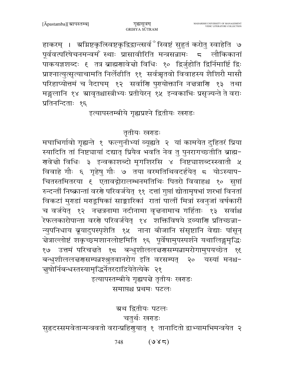हाकरम् । ग्रग्निष्टकृत्स्विष्टकृद्विद्वान्त्सर्व<sup>ै</sup>स्विष्टं सुहुतं करोतु स्वाहेति ७ पूर्ववत्परिषेचनमन्वमें स्थाः प्रासावीरिति मन्त्रसन्नामः ८ लौकिकानां पाकयज्ञशब्दः १ तत्र ब्राह्मणावेचो विधिः १० द्विर्जुहोति द्विर्निमार्ष्टि द्विः प्राश्नात्युत्सृत्याचामति निर्लेढीति ११ सर्वऋतवो विवाहस्य शैशिरौ मासौ परिहाप्योत्तमं च नैदाघम् १२ सर्वाणि पुरायोक्तानि नज्ञत्राणि १३ तथा मङ्गलानि १४ म्रावृतश्चास्त्रीभ्यः प्रतीयेरन् १५ इन्वकाभिः प्रसृज्यन्ते ते वराः प्रतिनन्दिताः १६

इत्यापस्तम्बीये गृह्यप्रश्ने द्वितीयः खराडः

## तृतीयः खराडः

मघाभिर्गावो गृह्यन्ते १ फल्गुनीभ्यां व्यूह्यते २ यां कामयेत दुहितरं प्रिया स्यादिति तां निष्ट्यायां दद्यात् प्रियैव भवति नेव तु पुनरागच्छतीति ब्राह्म-गलवेत्तो विधिः ३ इन्वकाशब्दो मृगशिरसि ४ निष्ट्याशब्दस्स्वातौ ५ विवाहे गौः ६ गृहेषु गौः ७ तया वरमतिथिवदर्हयेत् ८ योऽस्याप-चितस्तमितरया ६ एतावद्गोरालम्भनमतिथिः पितरो विवाहश्च १० सूप्तां रुन्दन्तीं निष्क्रान्तां वरणे परिवर्जयेत् ११ दत्तां गुप्तां द्योतामृषभां शरभां विनतां विकटां मुराडां मराडूषिकां साङ्कारिकां रातां पालीं मित्रां स्वनुजां वर्षकारीं च वर्जयेत् १२ नज्ञत्रनामा नदीनामा वृज्ञनामाच गर्हिताः १३ सर्वाश्च .<br>रेफलकारोपान्ता वरणे परिवर्जयेत् १४ शक्तिविषये द्रव्याणि प्रतिच्छन्ना-न्युपनिधाय ब्रूयादुपस्पृशेति १५ नाना बीजानि संसृष्टानि वेद्याः पांसून् चेत्राल्लोष्टं शकृच्छ्मशानलोष्टमिति १६ पूर्वेषामुपस्पर्शने यथालिङ्गमृद्धिः १७ उत्तमं परिचत्तते १८ बन्धुशीललत्तरासम्पन्नामरोगामुपयच्छेत १६ बन्धुशीललच्चणसम्पन्नश्श्रुतवानरोग इति वरसम्पत् २० यस्यां मनश्च-चुषोर्निबन्धस्तस्यामृद्धिर्नेतरदाद्रियेतेत्येके २१

इत्यापस्तम्बीये गृह्यपत्ते तृतीयः खराडः समाप्तश्च प्रथमः पटलः

ग्रथ द्वितीयः पटलः

# चतुर्थः खराडः

सुहृदस्समवेतान्मन्त्रवतो वरान्प्रहिगुयात् १ तानादितो द्वाभ्यामभिमन्त्रयेत २

 $(98\pi)$ 748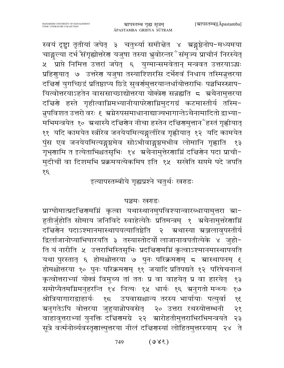स्वयं दृष्ट्वा तृतीयां जपेत् ३ चतुर्थ्या समीन्नेत ४ ग्रङ्गष्ठेनोप-मध्यमया चाङ्गल्या दर्भ संगृह्योत्तरेण यजुषा तस्या भ्रुवोरन्तर ँसंमृज्य प्राचीनं निरस्येत् ५ प्राप्ते निमित्त उत्तरां जपेत् ६ युग्मान्समवेतान् मन्त्रवत उत्तरयाऽद्धः प्रहिगुयात् ७ उत्तरेग यजुषा तस्याश्शिरसि दर्भेगवं निधाय तस्मिन्नुत्तरया दचिर्णं युगच्छिद्रं प्रतिष्ठाप्य छिद्रे सुवर्णमुत्तरयान्तर्धायोत्तराभिः पञ्चभिस्स्नाप-यित्वोत्तरयाऽहतेन वाससाच्छाद्योत्तरया योक्त्रेण सन्नह्यति ८ अथैनामुत्तरया दचिरणे हस्ते गृहीत्वाग्निमभ्यानीयापरेणाग्निमुदगग्रं कटमास्तीर्य तस्मि-न्नुपविशत उत्तरो वरः € स्रग्नेरुपसमाधानाद्याज्यभागान्तेऽथैनामादितो द्वाभ्या-मभिमन्त्रयेत १० अथास्यै दच्चिरणेन नीचा हस्तेन दच्चिरणमुत्तान ँहस्तं गृह्णीयात् ११ यदि कामयेत स्त्रीरेव जनयेयमित्यङ्गलीरेव गृह्णीयात् १२ यदि कामयेत पुंस एव जनयेयमित्यङ्गुष्ठमेव सोऽभीवाङ्गुष्ठमभीव लोमानि गृह्णाति १३ गृभ्णामि त इत्येताभिश्चतसृभिः १४ अथैनामुत्तेरणाग्निं दच्चिणेन पदा प्राची− मुदीचीं वा दिशमभि प्रक्रमयत्येकमिष इति १५ सखेति सप्तमे पदे जपति १६

इत्यापस्तम्बीये गृह्यप्रश्ने चतुर्थः खराडः

## पञ्चमः खराडः

प्राग्घोमात्प्रदच्चिरणमग्निं कृत्वा यथास्थानमुपविश्यान्वारब्धायामुत्तरा स्रा-हुतीर्जुहोति सोमाय जनिविदे स्वाहेत्येतैः प्रतिमन्त्रम् १ अथैनामुत्तरेणाग्निं दचिरणेन पदाऽश्मानमास्थापयत्यातिष्ठेति २ अथास्या अञ्जलावुपस्तीर्य द्विर्लाजानोप्याभिघारयति ३ तस्यास्तोदर्यो लाजानावपतीत्येके ४ जुहो-ति यं नारीति ५ उत्तराभिस्तिसृभिः प्रदच्चिरणमग्निं कृत्वाऽश्मानमास्थापयति यथा पुरस्तात् ६ होमश्चोत्तरया ७ पुनः परिक्रमराम् ८ ग्रास्थापनम् ६ होमश्चोत्तरया १० पुनः परिक्रमरणम् ११ जयादि प्रतिपद्यते १२ परिषेचनान्तं कृत्वोत्तराभ्यां योक्त्रं विमुच्य तां ततः प्र वा वाहयेत् प्र वा हारयेत्  $59$ समोप्यैतमग्निमनुहरन्ति १४ नित्यः १५ धार्यः १६ ग्रनुगतो मन्थ्यः  $e/8$ श्रोत्रियागाराद्वाहार्यः १८ उपवासश्चान्य तरस्य भार्यायाः पत्युर्वा  $38$ ञ्चनुगतेऽपि वोत्तरया जुहुयान्नोपवसेत् २० उत्तरा रथस्योत्तम्भनी २१ वाहावुत्तराभ्यां युनक्ति दचिरणमग्रे २२ स्रारोहतीमुत्तराभिरभिमन्त्रयते २३ सूत्रे वर्त्मनोर्व्यवस्तृणात्त्युत्तरया नीलं दच्चिणस्यां लोहितमुत्तरस्याम् २४ ्ते

> $(380)$ 749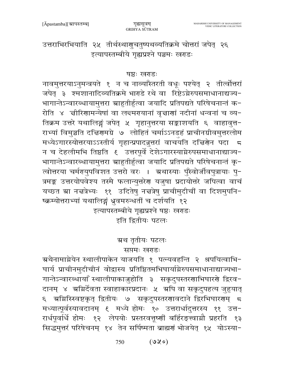उत्तराभिरभियाति २५ तीर्थस्थागुचतुष्पथव्यतिक्रमे चोत्तरां जपेत् २६ इत्यापस्तम्बीये गृह्यप्रश्ने पञ्चमः खराडः

#### षष्ठः खराडः

नावमुत्तरयाऽनुमन्त्रयते १ न च नाव्याँस्तरती वधूः पश्येत् २ तीर्त्वोत्तरां जपेत् ३ श्मशानादिव्यतिक्रमे भाराडे रथे वा रिष्टेऽग्नेरुपसमाधानाद्यज्य-भागान्तेऽन्वारब्धायामुत्तरा स्राहुतीर्हुत्वा जयादि प्रतिपद्यते परिषेचनान्तं क-रोति ४ ज्ञीरिणामन्येषां वा लन्दमरायानां वृज्ञाणां नदीनां धन्वनां च व्य-तिक्रम उत्तरे यथालिङ्गं जपेत् ५ गृहानुत्तरया सङ्काशयति ६ वाहावुत्त-राभ्यां विमुञ्चति दचिरणमग्रे ७ लोहितं चर्माऽऽनडहं प्राचीनग्रीवमुत्तरलोम मध्येऽगारस्योत्तरयाऽऽस्तीर्य गृहान्प्रपादन्नुत्तरां वाचयति दच्चिणेन पदा 5 न च देहलीमभि तिष्ठति ६ उत्तरपूर्वे देशेऽगारस्याग्नेरुपसमाधानाद्याज्य-भागान्तेऽन्वारब्धायामुत्तरा स्राहुतीर्हुत्वा जयादि प्रतिपद्यते परिषेचनान्तं कृ-त्वोत्तरया चर्मगयुपविशत उत्तरो वरः । अ्रथास्याः पुँस्वोर्जीवपुत्रायाः पु-त्रमङ्क उत्तरयोपवेश्य तस्मै फलान्युत्तरेण यजुषा प्रदायोत्तरे जपित्वा वाचं यच्छत स्रा नद्मत्रेभ्यः ११ उदितेषु नद्मत्रेषु प्राचीमुदीचीं वा दिशमुपनि-ष्क्रम्योत्तराभ्यां यथालिङ्गं ध्रुवमरुन्धर्ती च दर्शयति १२

इत्यापस्तम्बीये गृह्यप्रश्ने षष्ठः खराडः इति द्वितीयः पटलः

## ग्र्रथ तृतीयः पटलः सप्तमः खराडः

ग्रथैनामाग्नेयेन स्थालीपाकेन याजयति १ पत्न्यवहन्ति २ श्रपयित्वाभि-घार्य प्राचीनमुदीचीनं वोद्वास्य प्रतिष्ठितमभिघार्याग्नेरुपसमाधानाद्याज्यभा-गान्तेऽन्वारब्धायाँ स्थालीपाकाजुहोति ३ सकृदुपस्तरणाभिघारणे द्विरव-दानम् ४ अमिर्देवता स्वाहाकारप्रदानः ५ अपि वा सकृदुपहत्य जुहुयात् ६ अमिस्खिष्टकृत् द्वितीयः ७ सकृदुपस्तरणावदाने द्विरभिघारणम् ८ मध्यात्पूर्वस्यावदानम् ६ मध्ये होमः १० उत्तरार्धादुत्तरस्य ११ उत्त-रार्धपूर्वार्धे होमः १२ लेपयोः प्रस्तरवत्तूष्णीं बर्हिरङ्त्वाम्नौ प्रहरति १३ सिद्धमुत्तरं परिषेचनम् १४ तेन सर्पिष्मता ब्राह्मणं भोजयेत् १५ योऽस्या-

> $(0x)$ 750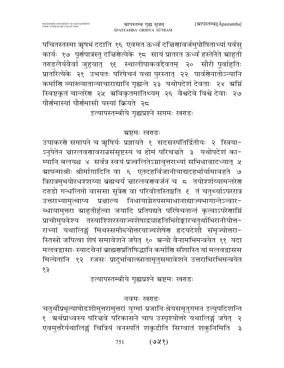पचितस्तस्मा ऋषभं ददाति १६ एवमत ऊर्ध्वं दच्चिणावर्जमुपोषिताभ्यां पर्वसु कार्यः १७ पूर्णपात्रस्तु दच्चिग्रेत्येके १८ सायं प्रातरत ऊर्ध्वं हस्तेनैते त्र्याहुती तराडलैर्यवैर्वा जुहुयात् १६ स्थालीपाकवद्दैवतम् २० सौरी पूर्वाहुतिः प्रातॉरत्येके २१ उभयतः परिषेचनं यथा पुरस्तात् २२ पार्वग्रेनातोऽन्यानि कर्माणि व्याख्यातान्याचाराद्यानि गृह्यन्ते २३ यथोपदेशं देवताः २४ अग्निं स्विष्टकृतं चान्तरेण २५ ग्रविकृतमातिथ्यम् २६ वैश्वदेवे विश्वे देवाः २७ पौर्णमास्यां पौर्णमासी यस्यां क्रियते २८

इत्यापस्तम्बीये गृह्यप्रश्ने सप्तमः खराडः

## ग्रष्टमः खराडः

उपाकरणे समापने च ऋषिर्यः प्रज्ञायते १ सदसस्पतिर्द्वितीयः २ स्त्रिया-ऽनुपेतेन चारलवणावरान्नसंसृष्टस्य च होमं परिचचते ३ यथोपदेशं का-म्यानि बलयश्च ४ सर्वत्र स्वयं प्रज्वलितेऽग्नावुत्तराभ्यां सभिधावादध्यात् ५ ग्र्यापन्माश्रीः श्रीर्मागादिति वा ६ एतदहर्विजानीयाद्यदहर्भार्यामावहते ७ त्रिरात्रमुभयोरधश्शय्या ब्रह्मचर्यं ज्ञारलवरण्वर्जनं च ८ तयोश्शीय्यामन्तरेण दराडो गन्धलिप्तो वाससा सूत्रेण वा परिवीतस्तिष्ठति १ तं चतुर्थ्याऽपररात्र उत्तराभ्यामुत्थाप्य प्रद्माल्य निधायाग्नेरुपसमाधानाद्याज्यभागान्तेऽन्वार-ब्धायामुत्तरा स्राहुतीर्हुत्वा जयादि प्रतिपद्यते परिषेचनान्तं कृत्वाऽपरेणाग्निं प्राचीमुपवेश्य तस्याश्शिरस्याज्यशेषाद्व्याहतिभिरोङ्कारचतुर्थाभिरानीयोत्त-राभ्यां यथालिङ्गं मिथस्समीन्दयोत्तरयाज्यशेषेण हृदयदेशौ संमृज्योत्तरा-स्तिस्रो जपित्वा शेषं समावेशने जपेत् १० ग्रन्यो वैनामभिमन्त्रयेत ११ यदा मलवद्वासाः स्यादथैनां ब्राह्मणप्रतिषिद्धानि कर्माणि सँशास्ति यां मलवद्वासस मित्येतानि १२ रजसः प्रादुर्भावात्स्नातामृतुसमावेशने उत्तराभिरभिमन्त्रयेत  $55$ 

इत्यापस्तम्बीये गृह्यप्रश्ने ग्रष्टमः खराडः

## नवमः खराडः

चतुर्थीप्रभृत्याषोडशीमुत्तरामुत्तरां युग्मां प्रजानिःश्रेयसमृतुगमन इत्युपदिशन्ति १ अर्थप्राध्वस्य परित्तवे परिकासने चाप उस्पृश्योत्तरे यथालिङ्गं जपेत् २ एवमुत्तरैर्यथालिङ्गं चित्रियं वनस्पतिं शकृद्रीति सिग्वातं शकुनिमिति ३

> $(922)$ 751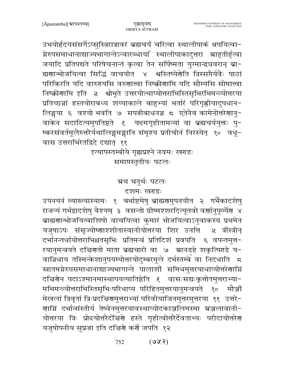उभयोर्हदयसंसर्गेऽप्सुस्त्रिरात्रावरं ब्रह्मचर्यं चरित्वा स्थालीपाकं श्रपयित्वा-ग्नेरुपसमाधानाद्याज्यभागान्तेऽन्वारब्धायाँ स्थालीपाकादुत्तरा स्राहुतीर्हुत्वा जयादि प्रतिपद्यते परिषेचनान्तं कृत्वा तेन सर्पिष्मता युग्मान्द्र्यवरान् ब्रा-ह्मणान्भोजयित्वा सिद्धिं वाचयीत ४ श्वस्तिष्येर्णेति त्रिस्सप्तैर्यवैः पाठां परिकिरति यदि वारुरयसि वरुणात्त्वा निष्क्रीणामि यदि सौम्यसि सोमात्त्वा निष्क्रीणामि इति ५ श्वोभूते उत्तरयोत्थाप्योत्तराभिस्तिसृभिरभिमन्त्र्योत्तरया प्रतिच्छन्नां हस्तयोराबध्य शय्याकाले बाहुभ्यां भर्तारं परिगृह्णीयादुपधान-लिङ्गया ६ वश्यो भवति ७ सपत्नीबाधनञ्च ८ एतेनैव कामेनोत्तरेणानु-वाकेन सदादित्यमुपतिष्ठते ६ य<del>द</del>मगृहीतामन्यां वा ब्रह्मचर्ययुक्तः पु-ष्करसंवर्तमूलैरुत्तरैर्यथालिङ्गमङ्गानि संमृश्य प्रतीचीनं निरस्येत् १० वधू-वास उत्तराभिरेतद्विदे दद्यात् ११

# इत्यापस्तम्बीये गृह्यप्रश्ने नवमः खराडः समाप्तस्तृतीयः पटलः

# ग्रथ चतर्थः पटलः

## दशमः खराडः

उपनयनं व्याख्यास्यामः १ बर्भाष्टमेषु ब्राह्मणुमुपनयीत २ गर्भैकादशेषु राजन्यं गर्भद्वादशेषु वैश्यम् ३ वसन्तो ग्रीष्मश्शरदित्यृतवो वर्णानुपूर्व्यैण ४ ब्राह्मणान्भोजयित्वाशिषो वाचयित्वा कुमारं भोजयित्वाऽनुवाकस्य प्रथमेन यजुषाऽपः संसृज्योष्णाश्शीतास्वानीयोत्तरया शिर उनत्ति ५ त्रींस्त्रीन दर्भानन्तर्धायोत्तराभिश्चतसृभिः प्रतिमन्त्रं प्रतिदिशं प्रवपति ६ वपन्तमत्त− रयानुमन्त्रयते दचिरणतो माता ब्रह्मचारी वा ७ भ्रानडहे शकृत्पिराडे य-वान्निधाय तस्मिन्केशानुपयम्योत्तरयोदुम्बरमूले दर्भस्तम्बे वा निदधाति ज स्नातमग्नेरुपसमाधानाद्याज्यभागान्ते पालाशीं समिधमुत्तरयाधाप्योत्तरेणाग्निं दच्चिर्णेन पदाऽश्मानमास्थापयत्यातिष्ठेति ६ वासःसद्यःकृत्तोतमुत्तराभ्या-मभिमन्त्र्योत्तराभिस्तिसृभिःपरिधाप्य परिहितमुत्तरयानुमन्त्रयते १० मौर्ञ्जी मेखलां त्रिवृतां त्रिःप्रदच्चिरणमुत्तराभ्यां परिवीयाजिनमुत्तरमुत्तरया ११ उत्तरे-णाग्निं दर्भान्संस्तीर्य तेष्वेनमुत्तरयावस्थाप्योदकाञ्जलिमस्मा ग्रञ्जलावानी-योत्तरया त्रिः प्रोन्दयोत्तरैर्दचिरणे हस्ते गृहीत्वोत्तरैर्देवताभ्यः परीदायोत्तरेण यजुषोपनीय सुप्रजा इति दच्चिणे कर्णे जपति १२

> $(983)$ 752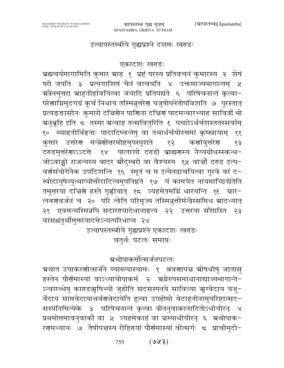## इत्यापस्तम्बीये गृह्यप्रश्ने दशमः खराडः

#### एकादशः खराडः

ब्रह्मचर्यमागामिति कुमार स्राह १ प्रष्टं परस्य प्रतिवचनं कुमारस्य २ शेषं परो जपति ३ प्रत्यगाशिषं चैनं वाचयति ४ उक्तमाज्यभागान्तम् ५ ग्रत्रैनमुत्तरा ग्राहुतीर्हावयित्वा जयादि प्रतिपद्यते ६ परिषेचनान्तं कृत्वा-परेणाग्निमुदगग्रं कूर्चं निधाय तस्मिन्नुत्तरेण यजुषोपनेतोपविशति ७ पुरस्तात् प्रत्यङ्ङासीनः कुमारो दच्चिर्णेन पाणिना दच्चिणं पादमन्वारभ्याह सावित्रीं भो ग्रनुब्रूहि इति 5 तस्मा ग्रन्वाह तत्सवितुरिति ६ पच्छोऽर्धर्चशस्ततस्सर्वाम् १० व्याहृतीर्विहृताः पादादिष्वन्तेषु वा तथार्धर्चयोरुत्तमां कृष्स्नायाम् ११ कुमार उत्तरेण मन्त्रेणोत्तरमोष्टमुपस्पृशते कर्णावत्तरेग १२  $58$ दराडमुत्तरेणाऽऽदत्ते १४ पालाशो दराडो ब्राह्मगस्य नैय्यग्रोधस्स्कन्ध-जोऽवाङ्गो राजन्यस्य बादर ग्रौदुम्बरो वा वैश्यस्य १५ वार्त्तो दराड इत्य-वर्णसंयोगेनैक उपदिशन्ति १६ स्मृतं च म इत्येतद्वाचयित्वा गुरवे वरं द-त्त्वोदायुषेत्युत्थाप्योत्तरैरादित्यमुपतिष्ठते १७ यं कामयेत नायमाच्छिद्येतेति तमुत्तरया दचिरणे हस्ते गृह्णीयात् १८ त्र्यहमेतमग्निं धारयन्ति १९ चार-लवरावर्जनं च २० परि त्वेति परिमृज्य तस्मिन्नुत्तरैर्मन्त्रैस्समिध ग्रादध्यात् २१ एवमन्यस्मिन्नपि सदाररयादेधानाहृत्य २२ उत्तरया सँशास्ति २३ वासश्चतुर्थीमुत्तरयादत्तेऽन्यत्परिधाप्य २४

इत्यापस्तम्बीये गृह्यप्रश्ने एकादशः खराडः

चतुर्थः पटलः समाप्तः

# <mark>ञ्रथोपाकर्मोत्स</mark>र्जनपटलः

ग्रथात उपाकरणोत्सर्जने व्याख्यास्यामः १ श्रवणापत्त स्रोषधीषु जातासु हस्तेन पौर्णमास्यां वाऽध्यायोपाकर्म २ अ्रग्रेरुपसमाधानाद्याज्यभागान्ते-ऽन्वारब्धेषु काराडऋषिभ्यो जुहोति सदसस्पतये सावित्र्या ऋग्वेदाय यजु− र्वेदाय सामवेदायाथर्वणवेदायेति हुत्वा उपहोमो वेदाहुतीनामुपरिष्टात्सद-सस्पतिमित्येके ३ परिषेचनान्तं कृत्वा त्रीननुवाकानादितोऽधीयीरन् ४ प्रथमोत्तमावनुवाकौ वा ५ त्र्यहमेकाहं वा चम्याधीयीरन् ६ ग्रथोपाक-रगमध्यायः ७ तैषीपत्तस्य रोहिरायां पौर्गमास्यां वोत्सर्गः ८ प्राचीमुदी-

> $(580)$ 753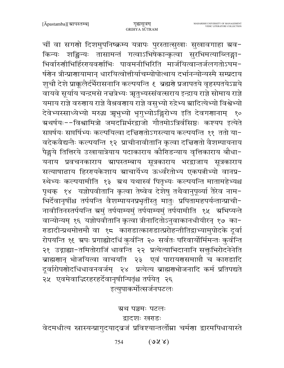चीं वा सगणो दिशमुपनिष्क्रम्य यत्रापः पुरस्तात्सुखाः सुखावगाहा ग्रव-किन्यः शङ्किन्यः तासामन्तं गत्वाऽभिषेकान्कृत्वा सुरभिमत्याब्लिङ्गा-भिर्वारुणीभिर्हिररयवर्णाभिः पावमनीभिरिति मार्जयित्वान्तर्जलगतोऽघम-र्षणेन त्रीन्प्राणायामान् धारयित्वोत्तीर्याचम्योपोत्थाय दर्भानन्योन्यस्मै सम्प्रदाय श़चौ देशे प्राक्कलैर्दर्भैरासनानि कल्पयन्ति १ ब्रह्मणे प्रजापतये वृहस्पतयेऽग्नये वायवे सूर्याय चन्द्रमसे नच्चत्रेभ्यः ऋतुभ्यस्संवत्सराय इन्द्राय राज्ञे सोमाय राज्ञे यमाय राज्ञे वरुणाय राज्ञे वैश्रवणाय राज्ञे वसुभ्यो रुद्रेभ्य स्रादित्येभ्यो विश्वेभ्यो देवेभ्यस्साध्येभ्यो मरुद्ध ऋभुभ्यो भृगुभ्योऽङ्गिरोभ्य इति देवगराानाम् १० ग्र्रथर्षयः−−विश्वामित्रो जमदग्निर्भरद्वाजो गौतमोऽत्रिर्वसिष्ठः कश्यप इत्येते सप्तर्षयः सप्तर्षिभ्यः कल्पयित्वा दच्चिगतोऽगस्त्याय कल्पयन्ति ११ ततो या-वदेकवैद्यन्तैः कल्पयन्ति १२ प्राचीनावीतानि कृत्वा दत्तिरातो वैशम्पायनाय पैङ्गये तित्तिरये उखायात्रेयाय पदाकाराय कौरिडन्याय वृत्तिकाराय बौधा-यनाय प्रवचनकाराय ग्रापस्तम्बाय सूत्रकाराय भरद्वाजाय सूत्रकाराय सत्याषाढाय हिररायकेशाय स्राचार्येभ्य ऊर्ध्वरेतोभ्य एकपत्नीभ्यो वानप्र-स्थेभ्यः कल्पयामीति १३ अ्थ यथास्वं पितृभ्यः कल्पयन्ति मातामहेभ्यश्च पृथक् १४ यज्ञोपवीतानि कृत्वा तेष्वेव देशेषु तथैवानुपूर्व्या तैरेव नाम-भिर्देवानृषींश्च तर्पयन्ति वैशम्पायनप्रभृतींस्तु मातुः प्रपितामहपर्यन्तान्प्राची-नावीतिनस्तर्पयन्ति ग्रमुं तर्पयाम्यमुं तर्पयाम्यमुं तर्पयामीति १५ ग्रभिष्यन्ते वान्योन्यम् १६ यज्ञोपवीतानि कृत्वा त्रीनादितोऽनुवाकानधीयीरन् १७ का− राडादीन्प्रथमोत्तमौ वा १८ काराडात्काराडात्प्ररोहन्तीतिद्वाभ्यामुपोदके दूर्वा रोपयन्ति १६ भ्रपः प्रगाह्योदधिं कुर्वन्ति २० सर्वतः परिवार्योर्मिमन्तः कुर्वन्ति २१ उद्गाह्या-तमितोराजिं धावन्ति २२ प्रत्येत्याभिदानानि सक्तुभिरोदनेनेति ब्राह्मणान् भोजयित्वा वाचयति २३ एवं पारायणसमाप्तौ च काराडादि दूर्वारोपणोदधिधावनवर्जम् २४ प्रत्येत्य ब्राह्मणभोजनादि कर्म प्रतिपद्यते २५ एवमेवाद्धिरहरहर्देवानृषीन्पितृंश्च तर्पयेत् २६ इत्युपाकर्मोत्सर्जनपटलः

ग्रथ पञ्चमः पटलः

द्वादशः खराडः

वेदमधीत्य स्नास्यन्प्रागुदयाद्बजं प्रविश्यान्तर्लोम्ना चर्मणा द्वारमपिधायास्ते

 $(S X)$ 754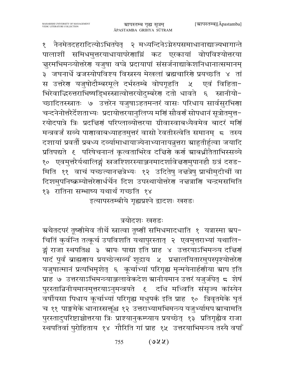१ नैनमेतदहरादित्योऽभितपेत् २ मध्यन्दिनेऽग्नेरुपसमाधानाद्याज्यभागान्ते पालाशीं समिधमुत्तरयाधायापरेणाग्निं कट एरकायां वोपविश्योत्तरया चुरमभिमन्त्र्योत्तरेण यजुषा वप्त्रे प्रदायापां संसर्जनाद्याकेशनिधानात्समानम् ३ जघनार्धे व्रजस्योपविश्य विस्नस्य मेखलां ब्रह्मचारिणे प्रयच्छति ४ तां स उत्तरेण यजुषोदौम्बरमूले दर्भस्तम्बे वोपगूहति एवं विहिता $x$ भिरेवाद्भिरुत्तराभिष्षड्भिस्स्नात्वोत्तरयोदुम्बरेण दतो धावते ६ स्नानीयो-च्छादितस्स्नातः ७ उत्तरेन यजुषाऽहतमन्तरं वासः परिधाय सार्वसुरभिणा चन्दनेनोत्तरैर्देशताभ्यः प्रदायोत्तरयानुलिप्य मर्णि सौवर्णं सोपधानं सूत्रोतमुत्त-रयोदपात्रे त्रिः प्रदत्तिर्णं परिप्लाव्योत्तरया ग्रीवास्वाबध्यैवमेव बादरं मर्णि मन्त्रवर्जं सव्ये पाणावाबध्याहतमुत्तरं वासो रेवतीस्त्वेति समानम् 5 तस्य दशायां प्रवर्तौ प्रबध्य दर्व्यामाधायाज्येनाभ्यानायन्नुत्तरा स्राहुतीर्हुत्वा जयादि प्रतिपद्यते ६ परिषेचनान्तं कृत्वताभिरेव दच्चिणे कर्ण स्राबध्नीतैताभिस्सव्ये १० एवमुत्तरैर्यथालिङ्गं स्त्रजश्शिरस्याञ्जनमादर्शावेज्ञगमुपानहौ छत्रं दराड-मिति ११ वाचं यच्छत्यानत्तत्रेभ्यः १२ उदितेषु नत्तत्रेषु प्राचीमुदीचीं वा दिशमुपनिष्क्रम्योत्तरेणार्धर्चेन दिश उपस्थायोत्तरेण नज्ञत्राणि चन्द्रमसमिति १३) रातिना सम्भाष्य यथार्थं गच्छति १४

इत्यापस्तम्बीये गृह्यप्रश्ने द्वादशः खराडः

## त्रयोदशः खराडः

ग्रथैतदपरं तूष्णीमेव तीर्थे स्नात्वा तूष्णीं समिधमादधाति १ यत्रास्मा ग्रप− चितिं कुर्वन्ति तत्कूर्च उपविशति यथापुरस्तात् २ एवमुत्तराभ्यां यथालि-ङ्गं राजा स्थपतिश्च ३ ग्रापः पाद्या इति प्राह ४ उत्तरयाऽभिमन्त्र्य दच्चिणं पादं पूर्वं ब्राह्मणाय प्रयच्छेत्सव्यं शूद्राय ५ प्रचालयितारमुपस्पृश्योत्तरेण यजुषात्मानं प्रत्यभिमृशेत् ६ कूर्चाभ्यां परिगृह्य मृन्मयेनार्हणीया स्राप इति प्राह ७ उत्तरयाऽभिमन्त्र्याञ्जलावेकदेश ग्रानीयमान उत्तरं यजुर्जपेत् ८ शेषं पुरस्तान्निनीयमानमुत्तरयाऽनुमन्त्रयते ६ दधि मध्विति संसृज्य कांस्येन वर्षीयसा पिधाय कूर्चाभ्यां परिगृह्य मधुपर्क इति प्राह १० त्रिवृतमेके घृतं च ११ पाङ्गमेके धानास्सक्तूंश्च १२ उत्तराभ्यामभिमन्त्र्य यजुभ्यामप स्राचामति पुरस्तादुपरिष्टाच्चोत्तरया त्रिः प्राश्यानुकम्प्याय प्रयच्छेत् १३ प्रतिगृह्यैव राजा स्थपतिर्वा पुरोहिताय १४ गौरिति गां प्राह १५ उत्तरयाभिमन्त्र्य तस्यै वर्पां

> $(922)$ 755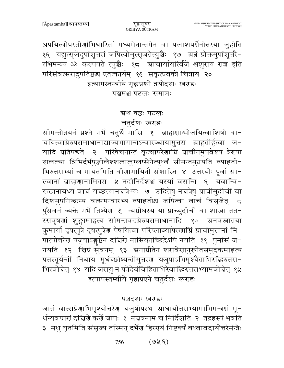श्रपयित्वोपस्तीर्णाभिघारितां मध्यमेनान्तमेन वा पलाशपर्णेनोत्तरया जुहोति १६ यद्युत्सृजेदुपांशूत्तरां जपित्वोमुत्सृजतेत्युच्चैः १७ ग्रज्ञं प्रोक्तमुपांशूत्तरै-रभिमन्त्र्य ॐ कल्पयते त्युच्चैः १८ म्राचार्यायत्विजे श्वशुराय राज्ञ इति परिसंवत्सरादुपतिष्ठद्ध एतत्कार्यम् १६ सकृत्प्रवक्त्रे चित्राय २० इत्यापस्तम्बीये गृह्यप्रश्ने त्रयोदशः खराडः पञ्चमश्च पटलः समाप्तः

ग्रथ षष्ठः पटलः

चतुर्दशः खराडः

सीमन्तोन्नयनं प्रश्ने गर्भे चतुर्थे मासि १ ब्राह्मणान्भोजयित्वाशिषो वा-चयित्वाग्नेरुपसमाधानाद्याज्यभागान्तेऽन्वारब्धायामुत्तरा स्राहुतीर्हुत्वा ज-यादि प्रतिपद्यते २ परिषेचनान्तं कृत्वापरेणाम्निं प्राचीनमुपवेश्य त्रेगया शलल्या त्रिभिर्दर्भपुञ्जीलैश्शलालुग्लप्सेनेत्यूर्ध्वं सीमन्तमुन्नयति व्याहृती-भिरुत्तराभ्यां च गायतमिति वीणागायिनौ संशास्ति ४ उत्तरयोः पूर्वा सा-ल्वानां बाह्मणानामितरा ५ नदीनिर्देशश्च यस्यां वसन्ति ६ यवान्वि-रूढानाबध्य वाचं यच्छत्यानज्ञत्रेभ्यः ७ उदितेषु नज्ञत्रेषु प्राचीमुदीचीं वा दिशमुपनिष्क्रम्य वत्समन्वारभ्य व्याहृतीश्च जपित्वा वाचं विसृजेत् 5 पुँसवनं व्यक्ते गर्भे तिष्येर ६ न्यग्रोधस्य या प्राच्युदीची वा शाखा तत-स्सवृषणां शुङ्गामाहत्य सीमन्तवदग्नेरुपसमाधानादि १० ग्रनवस्नातया कुमार्या दृषत्पुत्रे दृषत्पुत्रेण पेषयित्वा परिप्लाव्यापेरणाम्निं प्राचीमुत्तानां नि-पात्योत्तरेण यजुषाऽङ्गष्ठेन दच्चिणे नासिकाच्छिद्रेऽपि नयति ११ पुमांसं ज-नयति १२ चिप्रं सुवनम् १३ अनाप्रीतेन शरावेणानुस्रोतसमुदकमाहत्य पत्तस्तूर्यन्तीं निधाय मूर्धञ्छोष्यन्तीमुत्तरेण यजुषाऽभिमृश्यैताभिरद्भिरुत्तरा-भिरवोद्मेत् १४ यदि जरायु न पतेदेवंविहिताभिरेवाद्भिरुत्तराभ्यामवोद्मेत् १५ इत्यापस्तम्बीये गृह्यप्रश्ने चतुर्दशः खराडः

## पञ्चदशः खराडः

जातं वात्सप्रेणाभिमृश्योत्तरेण यजुषोपस्थ स्राधायोत्तराभ्यामाभिमन्त्रणं मू-र्धन्यवघ्राणं दच्चिणे कर्णे जापः १ नच्चत्रनाम च निर्दिशति २ तद्रहस्यं भवति ३) मधु घृतमिति संसृज्य तस्मिन् दर्भेण हिरगयं निष्टक्यं बध्वावदायोत्तरैर्मन्त्रैः

> $(380)$ 756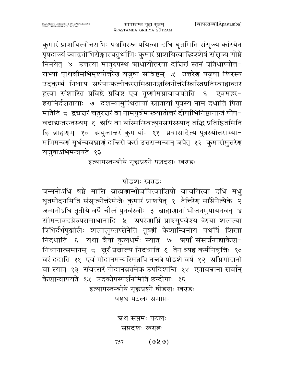कुमारं प्राशयित्वोत्तराभिः पञ्चभिस्स्नापयित्वा दधि घृतमिति संसृज्य कांस्येन पृषदाज्यं व्याहतीभिरोङ्कारचतुर्थाभिः कुमारं प्राशयित्वाद्धिश्शेषं संसृज्य गोष्ठे निनयेत् ४ उत्तरया मातुरुपस्थ स्राधायोत्तरया दचिणं स्तनं प्रतिधाप्योत्त-राभ्यां पृथिवीमभिमृश्योत्तरेण यजुषा संविष्टम् ५ उत्तरेण यजुषा शिरस्य उदकुम्भं निधाय सर्षपान्फलीकरणमिश्रानञ्जलिनोत्तरैस्त्रिस्त्रिप्रतिस्वाहाकारं हुत्वा संशास्ति प्रविष्टे प्रविष्ट एव तूष्णीमग्नावावपतेति ६ एवमहर-हरानिर्दशतायाः ७ दशम्यामुत्थितायां स्नातायां पुत्रस्य नाम दधाति पिता मातेति ८ द्व्यज्ञरं चतुरज्ञरं वा नामपूर्वमारूयातोत्तरं दीर्घाभिनिष्ठानान्तं घोष-वदाद्यन्तरन्तस्थम् ६ अपि वा यस्मिन्स्वित्युपसर्गस्स्यात् तद्धि प्रतिष्ठितमिति हि ब्राह्मणम् १० अयुजात्तरं कुमार्याः ११ प्रवासादेत्य पुत्रस्योत्तराभ्या-मभिमन्त्रणं मूर्धन्यवघ्राणं दच्चिणे कर्ण उत्तरान्मन्त्रान् जपेत् १२ कुमारीमुत्तरेण यजुषाऽभिमन्त्रयते १३

ग्रापस्तम्ब गृह्य सूत्रम्

इत्यापस्तम्बीये गृह्यप्रश्ने पञ्चदशः खराडः

# षोडशः खराडः

जन्मनोऽधि षष्ठे मासि ब्राह्मणान्भोजयित्वाशिषो वाचयित्वा दधि मधु घृतमोदनमिति संसृज्योत्तरैर्मन्त्रैः कुमारं प्राशयेत् १ तैत्तिरेण माँसेनेत्येके २ जन्मनोऽधि तृतीये वर्षे चौलं पुनर्वस्वोः ३ ब्राह्मणानां भोजनमुपायनवत् ४ सीमन्तवदग्नेरुपसमाधानादि ५ अपरेणाग्निं प्राञ्चमुपवेश्य त्रेराया शलल्या त्रिभिर्दर्भपुञ्जीलैः शलालुग्लप्सेनेति तूष्णीं केशान्विनीय यथर्षि शिखा निदधाति ६ यथा वैषां कुलधर्मः स्यात् ७ ग्रपाँ संसर्जनाद्याकेश-निधानात्समानम् ८ जुरँ प्रज्ञाल्य निदधाति ६ तेन त्र्यहं कर्मनिवृत्तिः १० वरं ददाति ११ एवं गोदानमन्यस्मिन्नपि नच्चत्रे षोडशे वर्षे १२ अग्निगोदानो वा स्यात् १३ संवत्सरं गोदानब्रतमेक उपदिशन्ति १४ एतावन्नाना सर्वान् केशान्वापयते १५ उदकोपस्पर्शनमिति छन्दोगाः १६ इत्यापस्तम्बीये गृह्यप्रश्ने षोडशः खराडः

षष्ठश्च पटलः समाप्तः

ग्रथ सप्तमः पटलः सप्तदशः खराडः

 $(0x)$ 757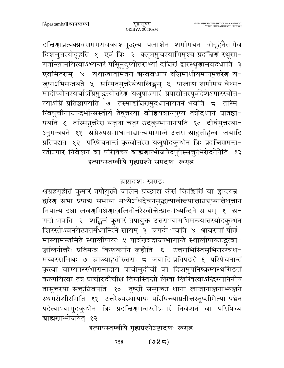$(925)$ 758

इत्यापस्तम्बीये गृह्यप्रश्नेऽष्टादशः खराडः

शिरस्तोऽवनयेत्प्रातर्मध्यन्दिने सायम् ३ ग्रगदो भवति ४ श्रावरमयां पौर्ण-मास्यामस्तमिते स्थालीपाकः ५ पार्वणवदाज्यभागान्ते स्थालीपाकाद्धत्वा-ञ्जलिनोत्तरैः प्रतिमन्त्रं किशुकानि जुहोति ६ उत्तराभिस्तिसृभिरारग्वध− मय्यस्समिधः ७ ग्राज्याहुतीरुत्तराः ८ जयादि प्रतिपद्यते ६ परिषेचनान्तं कृत्वा वाग्यतस्संभारानादाय प्राचीमुदीचीं वा दिशमुपनिष्क्रम्यस्थरिडलं कल्पयित्वा तत्र प्राचीरुदीचीश्च तिस्रस्तिस्रो लेखा लिखित्वाऽद्भिरुपनिनीय तासूत्तरया सक्तून्निवपति १० तृष्णीं सम्पुष्का धाना लाजानाञ्जनाभ्यञ्जने स्थगरोशीरमिति ११ उत्तरैरुपस्थायापः परिषिच्याप्रती तस्तूष्णीमेत्या पश्चेत पदेत्याभ्यामुदकुम्भेन त्रिः प्रदच्चिरणमन्तरतोऽगारं निवेशनं वा परिषिच्य ब्राह्मणान्भोजयेत् १२

दिशमुत्तरयोदूहति १ एवं त्रिः २ क्लृप्तमुचरयाभिमृश्य प्रदत्तिर्णं स्थूणा-गर्तान्खानयित्वाऽभ्यन्तरं पाँसूनुदुप्योत्तराभ्यां दच्चिणं द्वारस्थूणामवदधाति ३ एवमितराम् ४ यथाखातमितरा ग्रन्ववधाय वॅशमाधीयमानमुत्तरेण य-जुषाऽभिमन्त्रयते ५ सम्मितमुत्तरैर्यथालिङ्गम् ६ पालाशं शमीमयं वेध्म-मादीप्योत्तरयर्चाऽम्रिमुद्धत्योत्तरेण यजुषाऽगारं प्रपाद्योत्तरपूर्वदेशेऽगारस्योत्त-रयाऽग्निं प्रतिष्ठापयति ७ तस्मादचिरणमुदधानायतनं भवति ८ तस्मि-न्विषूचीनाग्रान्दर्भान्संस्तीर्य तेषूत्तरया व्रीहियवान्न्युप्य तत्रोदधानं प्रतिष्ठा-पयति ६ तस्मिन्नुत्तरेण यजुषा चतुर उदकुम्भानानयति १० दीर्घमुत्तरया-ऽनुमन्त्रयते ११ अग्नेरुपसमाधानाद्याज्यभागान्ते उत्तरा स्राहुतीर्हुत्वा जयादि

प्रतिपद्यते १२ परिषेचनान्तं कृत्वोत्तरेण यजुषोदकुम्भेन त्रिः प्रदत्तिरणमन्त-

रतोऽगारं निवेशनं वा परिषिच्य ब्राह्मणान्भोजयेदपूपैस्सक्तृभिरोदनेनेति १३

इत्यापस्तम्बीये गृह्यप्रश्ने सप्तदशः खराडः

ग्रष्टादशः खराडः श्वग्रहगृहीतं कुमारं तपोयुक्तो जालेन प्रच्छाद्य कंसं किङ्किणिं वा ह्रादयन्न-

द्वारेण सभां प्रपाद्य सभाया मध्येऽधिदेवनमुद्धत्यावोद्त्यान्नान्नञुप्यान्नेधूत्तानं

निपात्य दधा लवर्णामश्रेणाञ्जलिनोत्तरैरवोन्नेत्प्रातर्मध्यन्दिने सायम् १ ग्र-

गदो भवति २ शङ्किनं कुमारं तपोयुक्त उत्तराभ्यामभिमन्त्र्योत्तरयोदकुम्भेन

गुह्यसूत्रम् GRIHYA SUTRAM

दच्चिणाप्रत्यक्प्रवरणमगरावकाशमुद्धत्य पलाशेन शमीमयेन वोदूहेनैतामेव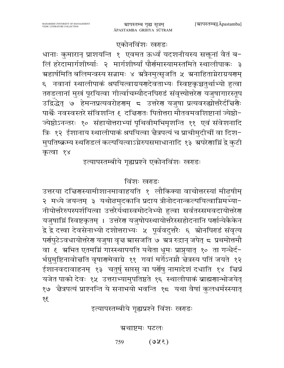# इत्यापस्तम्बीये गृह्यप्रश्ने विंशः खराडः

ग्रथाष्टमः पटलः

उत्तरया दत्तिरास्यामीशानमावाहयति १ लौकिक्या वाचोत्तरस्यां मीढषीम् २ मध्ये जयन्तम् ३ यथोढमुदकानि प्रदाय त्रीनोदनान्कल्पयित्वाग्निमभ्या-नीयोत्तरैरुपस्पर्शयित्वा उत्तरैर्यथास्वमोदनेभ्यो हुत्वा सर्वतस्समवदायोत्तरेण यजुषाम्निं स्विष्टकृतम् । उत्तरेण यजुषोपस्थायोत्तरैस्सहोदनानि पर्णान्येकैकेन द्वे द्वे दत्त्वा देवसेनाभ्यो दशोत्तराभ्यः ५ पूर्ववदुत्तरैः ६ स्रोनपिराडं संवृत्य पर्रापुटेऽवधायोत्तरेरा यजुषा वृत्त स्रासजति ७ स्रत्र रुद्रान् जपेत् ८ प्रथमोत्तमौ वा ६ अभित एतमग्निं गास्स्थापयति यथैता धूमः प्राप्नुयात् १० ता गन्धैर्द-र्भग्रुमुष्टिनावोत्तति वृषारणमेवाग्रे ११ गवां मर्गेऽनग्नौ त्तेत्रस्य पतिं जयते १२ ईशानवदावाहनम् १३ चतुर्षु सप्तसु वा पर्णेषु नामादेशं दधाति १४ चिप्रं यजेत पाको देवः १५ उत्तराभ्यामुपतिष्ठते १६ स्थालीपाकं ब्राह्मणान्भोजयेत् १७ चैत्रपत्यं प्राश्नन्ति ये सनाभयो भवन्ति १८ यथा वैषां कुलधर्मस्स्यात्  $38$ 

# विंशः खराडः

एकोनविंशः खराडः धानाः कुमारान् प्राशयन्ति १ एवमत ऊर्ध्वं यदशनीयस्य सक्तूनां वैतं ब− लिं हरेदामार्गशीर्ष्याः २ मार्गशीर्ष्यां पौर्णमास्यामस्तमिते स्थालीपाकः ३ ग्र्यहार्षमिति बलिमन्त्रस्य सन्नामः ४ ग्रत्रैनमुत्सृजति ५ ग्रनाहिताग्नेराग्रयगम् ६ नवानां स्थालीपाकं श्रपयित्वाग्रयणदेवताभ्यः स्विष्टकृच्चतुर्थाभ्यो हुत्वा तराडलानां मुखं पूरयित्वा गीर्त्वाचम्यौदनपिराडं संवृत्त्योत्तरेरा यजुषागारस्तूप उद्विद्धेत् ७ हेमन्तप्रत्यवरोहरणम् ८ उत्तरेण यजुषा प्रत्यवरुह्योत्तरैर्दचिर्यैः पार्श्वैः नवस्वस्तरे संविशन्ति ६ दद्मिणतः पितोत्तरा मौतवमवशिष्टानां ज्येष्ठो-ज्येष्ठोऽनन्तरः १० संहायोत्तराभ्यां पृथिवीमभिमृशन्ति ११ एवं संवेशनादि त्रिः १२ ईशानाय स्थालीपाकं श्रपयित्वा चैत्रपत्यं च प्राचीमुदीचीं वा दिश-मुपतिष्क्रम्य स्थरिडलं कल्पयित्वाऽग्नेरुपसमाधानादि १३ अपरेणाग्निं द्वे कुटी कृत्वा १४ इत्यापस्तम्बीये गृह्यप्रश्ने एकोनविंशः खराडः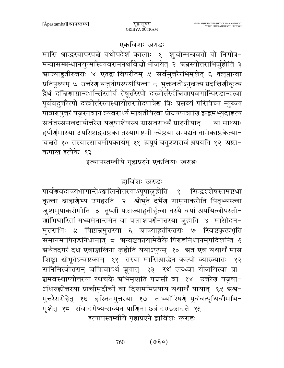र्णाभिघारितां मध्यमेनान्तमेन वा पलाशपर्णेनोत्तरया जुहोति ४ माँसोदन-मुत्तराभिः ५ पिष्टान्नमुत्तरया ६ स्राज्याहुतीरुत्तराः ७ स्विष्टकृत्प्रभृति समानमापिराडनिधानात् ८ ग्रन्वष्टकायामेवैके पिराडनिधानमुपदिशन्ति ६ ग्रथैतदपरं दध्न एवाञ्जलिना जुहोति ययाऽपूपम् १० अत एव यथार्थं मासं शिष्ट्रा श्वोभूतेऽन्वष्टकाम् ११ तस्या मासिश्राद्धेन कल्पो व्याख्यातः १२ सनिमित्वोत्तरान् जपित्वाऽर्थं ब्रूयात् १३ रथं लब्ध्वा योजयित्वा प्रा-ञ्चमवस्थाप्योत्तरया रथचक्रे अभिमृशति पद्मसी वा १४ उत्तरेण यजुषा-ऽधिरुह्योत्तरया प्राचीमुदीचीं वा दिशमभिप्रयाय यथार्थं यायात् १५ ग्रश्व− मुत्तरैरारोहेत् १६ हस्तिनमुत्तरया १७ ताभ्याँ रेषणे पूर्ववत्पृथिवीमभि-मृशेत् १८ संवादमेष्यन्सव्येन पार्णिना छत्रं दराडञ्चादत्ते १६ इत्यापस्तम्बीये गृह्यप्रश्ने द्वाविंशः खराडः

मन्त्रासम्बन्धानयुग्माँस्त्र्यवराननर्थावेत्तो भोजयेत् २ अन्नस्योत्तराभिर्जुहोति ३ ग्र्याडुतीरुत्तराः ४ एतद्वा विपरीतम् ५ सर्वमुत्तरैरभिमृशेत् ६ क्लृप्तान्वा प्रतिपूरुषम् ७ उत्तरेण यजुषोपस्पर्शयित्वा ८ भुक्तवतोऽनुव्रज्य प्रदच्चिणीकृत्य द्वैधं दच्चिणाग्रान्दर्भान्संस्तीर्य तेषूत्तरैरपो दत्त्वोत्तरैर्दच्चिणापवर्गान्पिराडान्दत्त्वा पूर्ववदुत्तरैरपो दत्त्वोत्तरैरुपस्थायोत्तरयोदपात्रेण त्रिः प्रसव्यं परिषिच्य न्युब्ज्य पात्रारायुत्तरं यजुरनवानं त्र्यवरार्ध्य मावर्तयित्वा प्रोन्दयपात्राणि द्वन्द्वमभ्युदाहृत्य सर्वतस्समवदायोत्तरेण यजुषाशेषस्य ग्रासवरार्ध्यं प्राश्नीयात् । या माध्याः ह्पौर्णमास्या उपरिष्टाद्वचष्टका तस्यामष्टमी ज्येष्ठया सम्पद्यते तामेकाष्टकेत्या-

चत्तते १० तस्यास्सायमौपकार्यम् ११ ग्रपूपं चतुश्शरावं श्रपयति १२ ग्रष्टा-

इत्यापस्तम्बीये गृह्यप्रश्ने एकविंशः खराडः

द्राविंशः खराडः

कृत्वा ब्राह्मणेभ्य उपहरति २ श्वोभूते दर्भेण गामुपाकरोति पितृभ्यस्त्वा

जुष्टामुपाकरोमीति ३ तूष्णीं पञ्चाज्याहुतीर्हुत्वा तस्यै वपां श्रपयित्वोपस्ती-

पार्वणवदाज्यभागान्तेऽञ्जलिनोत्तरयाऽपूपा<u>ज</u>्जुहोति १

## एकविंशः खराडः मासि श्राद्धस्यापरपत्ने यथोपदेशं कालाः १ शुचीन्मन्त्रवतो यो निगोत्र-

कपाल इत्येके १३

सिद्धश्शेषस्तमष्टधा